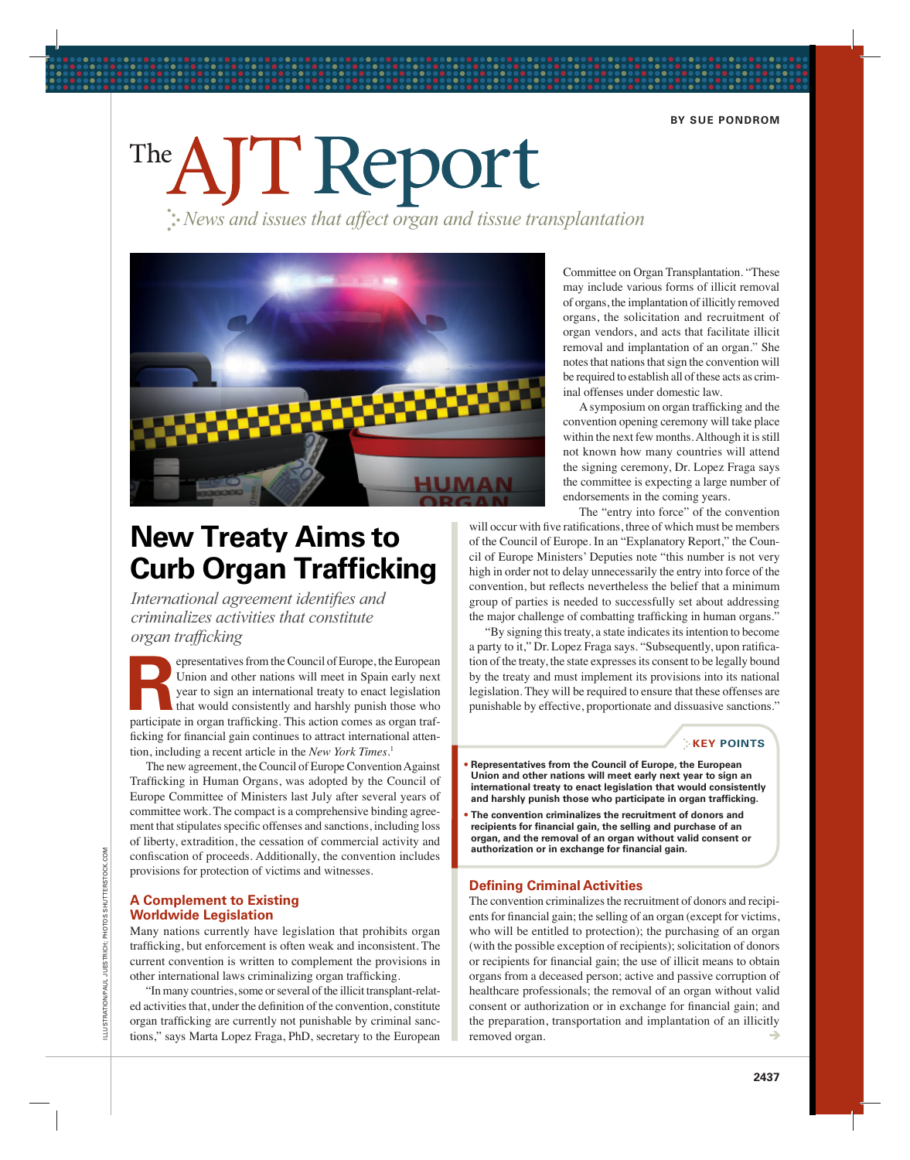# The AJT Report

: News and issues that affect organ and tissue transplantation



# **New Treaty Aims to Curb Organ Trafficking**

International agreement identifies and criminalizes activities that constitute organ trafficking

epresentatives from the Council of Europe, the European Union and other nations will meet in Spain early next year to sign an international treaty to enact legislation that would consistently and harshly punish those who participate in organ trafficking. This action comes as organ trafficking for financial gain continues to attract international attention, including a recent article in the New York Times.<sup>1</sup>

The new agreement, the Council of Europe Convention Against Trafficking in Human Organs, was adopted by the Council of Europe Committee of Ministers last July after several years of committee work. The compact is a comprehensive binding agreement that stipulates specific offenses and sanctions, including loss of liberty, extradition, the cessation of commercial activity and confiscation of proceeds. Additionally, the convention includes provisions for protection of victims and witnesses.

#### **A Complement to Existing Worldwide Legislation**

Many nations currently have legislation that prohibits organ trafficking, but enforcement is often weak and inconsistent. The current convention is written to complement the provisions in other international laws criminalizing organ trafficking.

"In many countries, some or several of the illicit transplant-related activities that, under the definition of the convention, constitute organ trafficking are currently not punishable by criminal sanctions," says Marta Lopez Fraga, PhD, secretary to the European Committee on Organ Transplantation. "These may include various forms of illicit removal of organs, the implantation of illicitly removed organs, the solicitation and recruitment of organ vendors, and acts that facilitate illicit removal and implantation of an organ." She notes that nations that sign the convention will be required to establish all of these acts as criminal offenses under domestic law.

A symposium on organ trafficking and the convention opening ceremony will take place within the next few months. Although it is still not known how many countries will attend the signing ceremony, Dr. Lopez Fraga says the committee is expecting a large number of endorsements in the coming years.

The "entry into force" of the convention

will occur with five ratifications, three of which must be members of the Council of Europe. In an "Explanatory Report," the Council of Europe Ministers' Deputies note "this number is not very high in order not to delay unnecessarily the entry into force of the convention, but reflects nevertheless the belief that a minimum group of parties is needed to successfully set about addressing the major challenge of combatting trafficking in human organs."

"By signing this treaty, a state indicates its intention to become a party to it," Dr. Lopez Fraga says. "Subsequently, upon ratification of the treaty, the state expresses its consent to be legally bound by the treaty and must implement its provisions into its national legislation. They will be required to ensure that these offenses are punishable by effective, proportionate and dissuasive sanctions."

#### **EXEY POINTS**

- Representatives from the Council of Europe, the European Union and other nations will meet early next year to sign an international treaty to enact legislation that would consistently and harshly punish those who participate in organ trafficking.
- The convention criminalizes the recruitment of donors and recipients for financial gain, the selling and purchase of an organ, and the removal of an organ without valid consent or authorization or in exchange for financial gain.

#### **Defining Criminal Activities**

The convention criminalizes the recruitment of donors and recipients for financial gain; the selling of an organ (except for victims, who will be entitled to protection); the purchasing of an organ (with the possible exception of recipients); solicitation of donors or recipients for financial gain; the use of illicit means to obtain organs from a deceased person; active and passive corruption of healthcare professionals; the removal of an organ without valid consent or authorization or in exchange for financial gain; and the preparation, transportation and implantation of an illicitly removed organ.